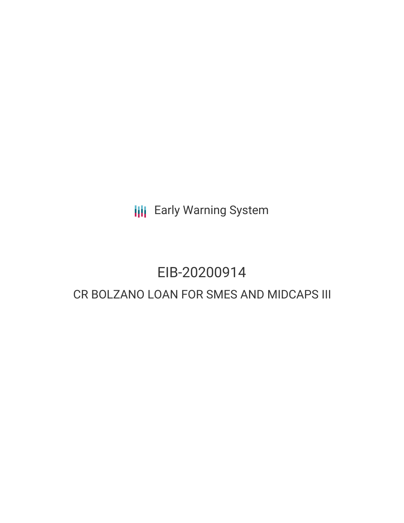**III** Early Warning System

# EIB-20200914 CR BOLZANO LOAN FOR SMES AND MIDCAPS III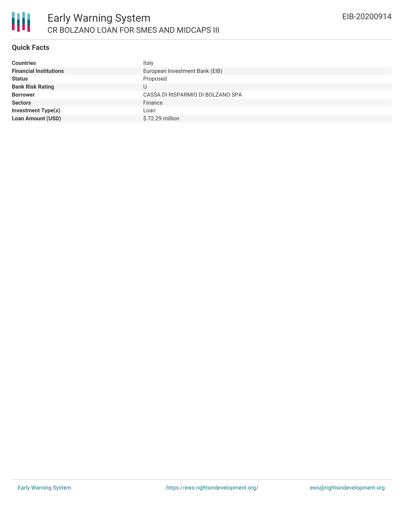

## **Quick Facts**

| <b>Countries</b>              | Italy                             |
|-------------------------------|-----------------------------------|
| <b>Financial Institutions</b> | European Investment Bank (EIB)    |
| <b>Status</b>                 | Proposed                          |
| <b>Bank Risk Rating</b>       |                                   |
| <b>Borrower</b>               | CASSA DI RISPARMIO DI BOLZANO SPA |
| <b>Sectors</b>                | Finance                           |
| <b>Investment Type(s)</b>     | Loan                              |
| <b>Loan Amount (USD)</b>      | \$72.29 million                   |
|                               |                                   |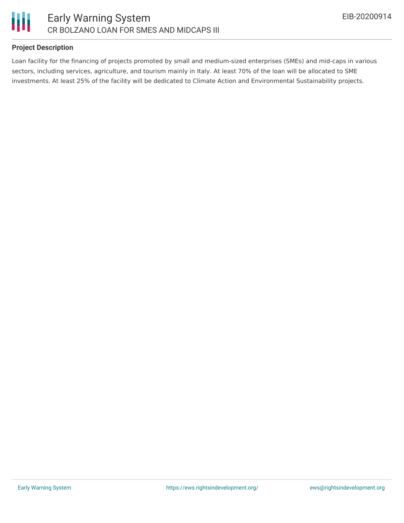

## **Project Description**

Loan facility for the financing of projects promoted by small and medium-sized enterprises (SMEs) and mid-caps in various sectors, including services, agriculture, and tourism mainly in Italy. At least 70% of the loan will be allocated to SME investments. At least 25% of the facility will be dedicated to Climate Action and Environmental Sustainability projects.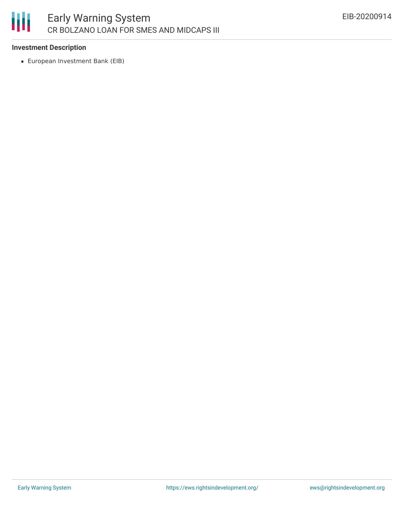

### **Investment Description**

European Investment Bank (EIB)